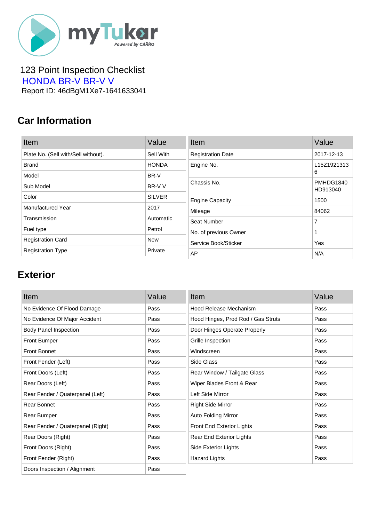

 123 Point Inspection Checklist  [HONDA BR-V BR-V V](https://mytukar.com/q/EZ2Q3X) Report ID: 46dBgM1Xe7-1641633041

### **Car Information**

| Item                                | Value         | Item                     | Value                 |
|-------------------------------------|---------------|--------------------------|-----------------------|
| Plate No. (Sell with/Sell without). | Sell With     | <b>Registration Date</b> | 2017-12-13            |
| <b>Brand</b>                        | <b>HONDA</b>  | Engine No.               | L15Z1921313           |
| Model                               | BR-V          |                          | 6                     |
| Sub Model                           | BR-V V        | Chassis No.              | PMHDG1840<br>HD913040 |
| Color                               | <b>SILVER</b> | <b>Engine Capacity</b>   | 1500                  |
| <b>Manufactured Year</b>            | 2017          | Mileage                  | 84062                 |
| Transmission                        | Automatic     | Seat Number              | 7                     |
| Fuel type                           | Petrol        | No. of previous Owner    |                       |
| <b>Registration Card</b>            | <b>New</b>    | Service Book/Sticker     | Yes                   |
| <b>Registration Type</b>            | Private       | AP                       | N/A                   |

#### **Exterior**

| Item                              | Value | Item                               | Value |
|-----------------------------------|-------|------------------------------------|-------|
| No Evidence Of Flood Damage       | Pass  | Hood Release Mechanism             | Pass  |
| No Evidence Of Major Accident     | Pass  | Hood Hinges, Prod Rod / Gas Struts | Pass  |
| <b>Body Panel Inspection</b>      | Pass  | Door Hinges Operate Properly       | Pass  |
| <b>Front Bumper</b>               | Pass  | Grille Inspection                  | Pass  |
| <b>Front Bonnet</b>               | Pass  | Windscreen                         | Pass  |
| Front Fender (Left)               | Pass  | Side Glass                         | Pass  |
| Front Doors (Left)                | Pass  | Rear Window / Tailgate Glass       | Pass  |
| Rear Doors (Left)                 | Pass  | Wiper Blades Front & Rear          | Pass  |
| Rear Fender / Quaterpanel (Left)  | Pass  | Left Side Mirror                   | Pass  |
| Rear Bonnet                       | Pass  | <b>Right Side Mirror</b>           | Pass  |
| Rear Bumper                       | Pass  | <b>Auto Folding Mirror</b>         | Pass  |
| Rear Fender / Quaterpanel (Right) | Pass  | Front End Exterior Lights          | Pass  |
| Rear Doors (Right)                | Pass  | Rear End Exterior Lights           | Pass  |
| Front Doors (Right)               | Pass  | Side Exterior Lights               | Pass  |
| Front Fender (Right)              | Pass  | <b>Hazard Lights</b>               | Pass  |
| Doors Inspection / Alignment      | Pass  |                                    |       |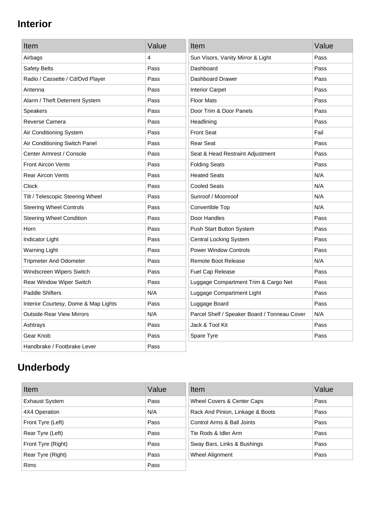## **Interior**

| Item                                 | Value | Item                                         | Value |
|--------------------------------------|-------|----------------------------------------------|-------|
| Airbags                              | 4     | Sun Visors, Vanity Mirror & Light            | Pass  |
| Safety Belts                         | Pass  | Dashboard                                    | Pass  |
| Radio / Cassette / Cd/Dvd Player     | Pass  | Dashboard Drawer                             | Pass  |
| Antenna                              | Pass  | <b>Interior Carpet</b>                       | Pass  |
| Alarm / Theft Deterrent System       | Pass  | <b>Floor Mats</b>                            | Pass  |
| <b>Speakers</b>                      | Pass  | Door Trim & Door Panels                      | Pass  |
| Reverse Camera                       | Pass  | Headlining                                   | Pass  |
| Air Conditioning System              | Pass  | <b>Front Seat</b>                            | Fail  |
| Air Conditioning Switch Panel        | Pass  | <b>Rear Seat</b>                             | Pass  |
| Center Armrest / Console             | Pass  | Seat & Head Restraint Adjustment             | Pass  |
| <b>Front Aircon Vents</b>            | Pass  | <b>Folding Seats</b>                         | Pass  |
| <b>Rear Aircon Vents</b>             | Pass  | <b>Heated Seats</b>                          | N/A   |
| Clock                                | Pass  | <b>Cooled Seats</b>                          | N/A   |
| Tilt / Telescopic Steering Wheel     | Pass  | Sunroof / Moonroof                           | N/A   |
| <b>Steering Wheel Controls</b>       | Pass  | Convertible Top                              | N/A   |
| <b>Steering Wheel Condition</b>      | Pass  | Door Handles                                 | Pass  |
| Horn                                 | Pass  | Push Start Button System                     | Pass  |
| Indicator Light                      | Pass  | <b>Central Locking System</b>                | Pass  |
| <b>Warning Light</b>                 | Pass  | <b>Power Window Controls</b>                 | Pass  |
| <b>Tripmeter And Odometer</b>        | Pass  | <b>Remote Boot Release</b>                   | N/A   |
| Windscreen Wipers Switch             | Pass  | Fuel Cap Release                             | Pass  |
| Rear Window Wiper Switch             | Pass  | Luggage Compartment Trim & Cargo Net         | Pass  |
| <b>Paddle Shifters</b>               | N/A   | Luggage Compartment Light                    | Pass  |
| Interior Courtesy, Dome & Map Lights | Pass  | Luggage Board                                | Pass  |
| <b>Outside Rear View Mirrors</b>     | N/A   | Parcel Shelf / Speaker Board / Tonneau Cover | N/A   |
| Ashtrays                             | Pass  | Jack & Tool Kit                              | Pass  |
| Gear Knob                            | Pass  | Spare Tyre                                   | Pass  |
| Handbrake / Footbrake Lever          | Pass  |                                              |       |

# **Underbody**

| Item                  | Value | Item                             | Value |
|-----------------------|-------|----------------------------------|-------|
| <b>Exhaust System</b> | Pass  | Wheel Covers & Center Caps       | Pass  |
| 4X4 Operation         | N/A   | Rack And Pinion, Linkage & Boots | Pass  |
| Front Tyre (Left)     | Pass  | Control Arms & Ball Joints       | Pass  |
| Rear Tyre (Left)      | Pass  | Tie Rods & Idler Arm             | Pass  |
| Front Tyre (Right)    | Pass  | Sway Bars, Links & Bushings      | Pass  |
| Rear Tyre (Right)     | Pass  | Wheel Alignment                  | Pass  |
| <b>Rims</b>           | Pass  |                                  |       |